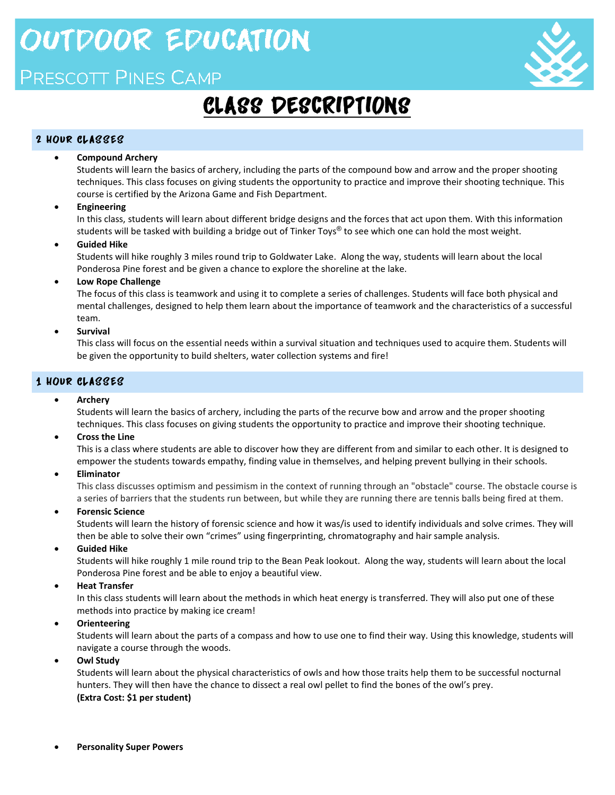# **OUTDOOR EDUCATION**

### PRESCOTT PINES CAMP



## CLASS DESCRIPTIONS

### 2 HOUR CLASSES

### **Compound Archery**

Students will learn the basics of archery, including the parts of the compound bow and arrow and the proper shooting techniques. This class focuses on giving students the opportunity to practice and improve their shooting technique. This course is certified by the Arizona Game and Fish Department.

### **Engineering**

In this class, students will learn about different bridge designs and the forces that act upon them. With this information students will be tasked with building a bridge out of Tinker Toys® to see which one can hold the most weight.

### **Guided Hike**

Students will hike roughly 3 miles round trip to Goldwater Lake. Along the way, students will learn about the local Ponderosa Pine forest and be given a chance to explore the shoreline at the lake.

**Low Rope Challenge**

The focus of this class is teamwork and using it to complete a series of challenges. Students will face both physical and mental challenges, designed to help them learn about the importance of teamwork and the characteristics of a successful team.

### **Survival**

This class will focus on the essential needs within a survival situation and techniques used to acquire them. Students will be given the opportunity to build shelters, water collection systems and fire!

### 1 HOUR CLASSES

### **Archery**

Students will learn the basics of archery, including the parts of the recurve bow and arrow and the proper shooting techniques. This class focuses on giving students the opportunity to practice and improve their shooting technique.

### **Cross the Line**

This is a class where students are able to discover how they are different from and similar to each other. It is designed to empower the students towards empathy, finding value in themselves, and helping prevent bullying in their schools.

 **Eliminator**

This class discusses optimism and pessimism in the context of running through an "obstacle" course. The obstacle course is a series of barriers that the students run between, but while they are running there are tennis balls being fired at them.

**Forensic Science**

Students will learn the history of forensic science and how it was/is used to identify individuals and solve crimes. They will then be able to solve their own "crimes" using fingerprinting, chromatography and hair sample analysis.

**Guided Hike**

Students will hike roughly 1 mile round trip to the Bean Peak lookout. Along the way, students will learn about the local Ponderosa Pine forest and be able to enjoy a beautiful view.

### **Heat Transfer**

In this class students will learn about the methods in which heat energy is transferred. They will also put one of these methods into practice by making ice cream!

**Orienteering**

Students will learn about the parts of a compass and how to use one to find their way. Using this knowledge, students will navigate a course through the woods.

**Owl Study** 

Students will learn about the physical characteristics of owls and how those traits help them to be successful nocturnal hunters. They will then have the chance to dissect a real owl pellet to find the bones of the owl's prey. **(Extra Cost: \$1 per student)**